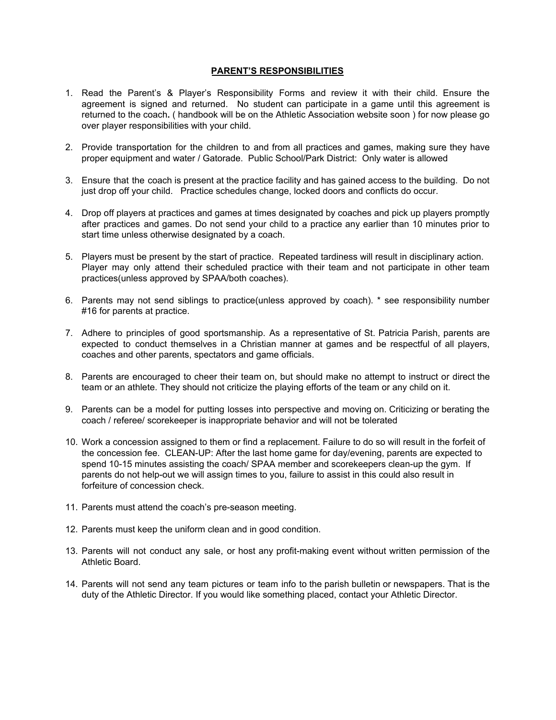## **PARENT'S RESPONSIBILITIES**

- 1. Read the Parent's & Player's Responsibility Forms and review it with their child. Ensure the agreement is signed and returned. No student can participate in a game until this agreement is returned to the coach**.** ( handbook will be on the Athletic Association website soon ) for now please go over player responsibilities with your child.
- 2. Provide transportation for the children to and from all practices and games, making sure they have proper equipment and water / Gatorade. Public School/Park District: Only water is allowed
- 3. Ensure that the coach is present at the practice facility and has gained access to the building. Do not just drop off your child. Practice schedules change, locked doors and conflicts do occur.
- 4. Drop off players at practices and games at times designated by coaches and pick up players promptly after practices and games. Do not send your child to a practice any earlier than 10 minutes prior to start time unless otherwise designated by a coach.
- 5. Players must be present by the start of practice. Repeated tardiness will result in disciplinary action. Player may only attend their scheduled practice with their team and not participate in other team practices(unless approved by SPAA/both coaches).
- 6. Parents may not send siblings to practice(unless approved by coach). \* see responsibility number #16 for parents at practice.
- 7. Adhere to principles of good sportsmanship. As a representative of St. Patricia Parish, parents are expected to conduct themselves in a Christian manner at games and be respectful of all players, coaches and other parents, spectators and game officials.
- 8. Parents are encouraged to cheer their team on, but should make no attempt to instruct or direct the team or an athlete. They should not criticize the playing efforts of the team or any child on it.
- 9. Parents can be a model for putting losses into perspective and moving on. Criticizing or berating the coach / referee/ scorekeeper is inappropriate behavior and will not be tolerated
- 10. Work a concession assigned to them or find a replacement. Failure to do so will result in the forfeit of the concession fee. CLEAN-UP: After the last home game for day/evening, parents are expected to spend 10-15 minutes assisting the coach/ SPAA member and scorekeepers clean-up the gym. If parents do not help-out we will assign times to you, failure to assist in this could also result in forfeiture of concession check.
- 11. Parents must attend the coach's pre-season meeting.
- 12. Parents must keep the uniform clean and in good condition.
- 13. Parents will not conduct any sale, or host any profit-making event without written permission of the Athletic Board.
- 14. Parents will not send any team pictures or team info to the parish bulletin or newspapers. That is the duty of the Athletic Director. If you would like something placed, contact your Athletic Director.